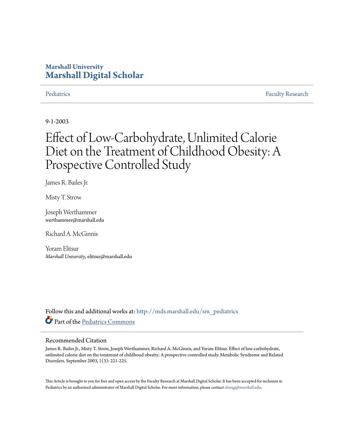## **Marshall University [Marshall Digital Scholar](http://mds.marshall.edu?utm_source=mds.marshall.edu%2Fsm_pediatrics%2F6&utm_medium=PDF&utm_campaign=PDFCoverPages)**

[Pediatrics](http://mds.marshall.edu/sm_pediatrics?utm_source=mds.marshall.edu%2Fsm_pediatrics%2F6&utm_medium=PDF&utm_campaign=PDFCoverPages) [Faculty Research](http://mds.marshall.edu/sm_faculty?utm_source=mds.marshall.edu%2Fsm_pediatrics%2F6&utm_medium=PDF&utm_campaign=PDFCoverPages)

9-1-2003

# Effect of Low-Carbohydrate, Unlimited Calorie Diet on the Treatment of Childhood Obesity: A Prospective Controlled Study

James R. Bailes Jr.

Misty T. Strow

Joseph Werthammer werthammer@marshall.edu

Richard A. McGinnis

Yoram Elitsur *Marshall University*, elitsur@marshall.edu

Follow this and additional works at: [http://mds.marshall.edu/sm\\_pediatrics](http://mds.marshall.edu/sm_pediatrics?utm_source=mds.marshall.edu%2Fsm_pediatrics%2F6&utm_medium=PDF&utm_campaign=PDFCoverPages) Part of the [Pediatrics Commons](http://network.bepress.com/hgg/discipline/700?utm_source=mds.marshall.edu%2Fsm_pediatrics%2F6&utm_medium=PDF&utm_campaign=PDFCoverPages)

### Recommended Citation

James R. Bailes Jr., Misty T. Strow, Joseph Werthammer, Richard A. McGinnis, and Yoram Elitsur. Effect of low-carbohydrate, unlimited calorie diet on the treatment of childhood obesity: A prospective controlled study. Metabolic Syndrome and Related Disorders. September 2003, 1(3): 221-225.

This Article is brought to you for free and open access by the Faculty Research at Marshall Digital Scholar. It has been accepted for inclusion in Pediatrics by an authorized administrator of Marshall Digital Scholar. For more information, please contact [zhangj@marshall.edu.](mailto:zhangj@marshall.edu)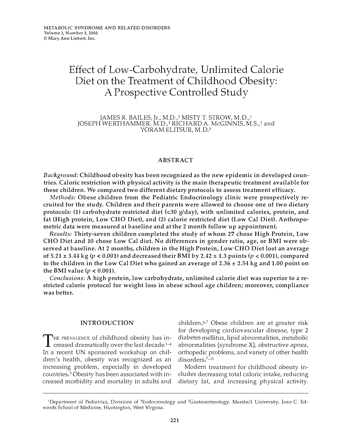# Effect of Low-Carbohydrate, Unlimited Calorie Diet on the Treatment of Childhood Obesity: A Prospective Controlled Study

JAMES R. BAILES, Jr., M.D.,<sup>2</sup> MISTY T. STROW, M.D.,<sup>1</sup> JOSEPH WERTHAMMER, M.D.,<sup>1</sup> RICHARD A. McGINNIS, M.S.,<sup>1</sup> and YORAM ELITSUR, M.D.<sup>3</sup>

#### **ABSTRACT**

Background: Childhood obesity has been recognized as the new epidemic in developed countries. Caloric restriction with physical activity is the main therapeutic treatment available for these children. We compared two different dietary protocols to assess treatment efficacy.

Methods: Obese children from the Pediatric Endocrinology clinic were prospectively recruited for the study. Children and their parents were allowed to choose one of two dietary protocols: (1) carbohydrate restricted diet (<30 g/day), with unlimited calories, protein, and fat (High protein, Low CHO Diet), and (2) calorie restricted diet (Low Cal Diet). Anthropometric data were measured at baseline and at the 2 month follow up appointment.

Results: Thirty-seven children completed the study of whom 27 chose High Protein, Low CHO Diet and 10 chose Low Cal diet. No differences in gender ratio, age, or BMI were observed at baseline. At 2 months, children in the High Protein, Low CHO Diet lost an average of 5.21  $\pm$  3.44 kg ( $p < 0.001$ ) and decreased their BMI by 2.42  $\pm$  1.3 points ( $p < 0.001$ ), compared to the children in the Low Cal Diet who gained an average of  $2.36 \pm 2.54$  kg and 1.00 point on the BMI value ( $p < 0.001$ ).

Conclusions: A high protein, low carbohydrate, unlimited calorie diet was superior to a restricted calorie protocol for weight loss in obese school age children; moreover, compliance was better.

#### INTRODUCTION

THE PREVALENCE of childhood obesity has in-<br>creased dramatically over the last decade.<sup>1-4</sup> HE PREVALENCE of childhood obesity has in-In a recent UN sponsored workshop on children's health, obesity was recognized as an increasing problem, especially in developed countries.<sup>5</sup> Obesity has been associated with increased morbidity and mortality in adults and

children.<sup>6,7</sup> Obese children are at greater risk for developing cardiovascular disease, type 2 diabetes mellitus, lipid abnormalities, metabolic abnormalities (syndrome X), obstructive apnea, orthopedic problems, and variety of other health disorders.<sup>7-11</sup>

Modern treatment for childhood obesity includes decreasing total caloric intake, reducing dietary fat, and increasing physical activity.

<sup>1</sup> Department of Pediatrics, Divisions of 2Endocrinology and 3Gastroenterology, Marshall University, Joan C. Edwards School of Medicine, Huntington, West Virginia.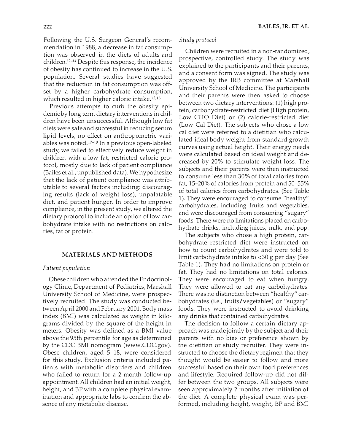Following the U.S. Surgeon General's recommendation in 1988, a decrease in fat consumption was observed in the diets of adults and children.12-14 Despite this response, the incidence of obesity has continued to increase in the U.S. population. Several studies have suggested that the reduction in fat consumption was offset by a higher carbohydrate consumption, which resulted in higher caloric intake.<sup>15,16</sup>

Previous attempts to curb the obesity epidemic by long term dietary interventions in children have been unsuccessful. Although low fat diets were safe and successful in reducing serum lipid levels, no effect on anthropometric variables was noted.<sup>17-19</sup> In a previous open-labeled study, we failed to effectively reduce weight in children with a low fat, restricted calorie protocol, mostly due to lack of patient compliance (Bailes et al., unpublished data). We hypothesize that the lack of patient compliance was attributable to several factors including: discouraging results (lack of weight loss), unpalatable diet, and patient hunger. In order to improve compliance, in the present study, we altered the dietary protocol to include an option of low carbohydrate intake with no restrictions on calories, fat or protein.

#### MATERIALS AND METHODS

#### Patient population

Obese children who attended the Endocrinology Clinic, Department of Pediatrics, Marshall University School of Medicine, were prospectively recruited. The study was conducted between April 2000 and February 2001. Body mass index (BMI) was calculated as weight in kilograms divided by the square of the height in meters. Obesity was defined as a BMI value above the 95th percentile for age as determined by the CDC BMI nomogram (www.CDC.gov). Obese children, aged 5-18, were considered for this study. Exclusion criteria included patients with metabolic disorders and children who failed to return for a 2-month follow-up appointment. All children had an initial weight, height, and BP with a complete physical examination and appropriate labs to confirm the absence of any metabolic disease.

#### Study protocol

Children were recruited in a non-randomized, prospective, controlled study. The study was explained to the participants and their parents, and a consent form was signed. The study was approved by the IRB committee at Marshall University School of Medicine. The participants and their parents were then asked to choose between two dietaty interventions: (1) high protein, carbohydrate-restricted diet (High protein, Low CHO Diet) or (2) calorie-restricted diet (Low Cal Diet). The subjects who chose a low cal diet were referred to a dietitian who calculated ideal body weight from standard growth curves using actual height. Their energy needs were calculated based on ideal weight and decreased by 20% to stimulate weight loss. The subjects and their parents were then instructed to consume less than 30% of total calories from fat, 15-20% of calories from protein and 50-55% of total calories from carbohydrates. (See Table 1 ). They were encouraged to consume "healthy" carbohydrates, including fruits and vegetables, and were discouraged from consuming "sugary" foods. There were no limitations placed on carbohydrate drinks, including juices, milk, and pop.

The subjects who chose a high protein, carbohydrate restricted diet were instructed on how to count carbohydrates and were told to limit carbohydrate intake to <30 g per day (See Table 1). They had no limitations on protein or fat. They had no limitations on total calories. They were encouraged to eat when hungry. They were allowed to eat any carbohydrates. There was no distinction between "healthy" carbohydrates (i.e., fruits/vegetables) or "sugary" foods. They were instructed to avoid drinking any drinks that contained carbohydrates.

The decision to follow a certain dietary approach was made jointly by the subject and their parents with no bias or preference shown by the dietitian or study recruiter. They were instructed to choose the dietary regimen that they thought would be easier to follow and more successful based on their own food preferences and lifestyle. Required follow-up did not differ between the two groups. All subjects were seen approximately 2 months after initiation of the diet. A complete physical exam was performed, including height, weight, BP and BMI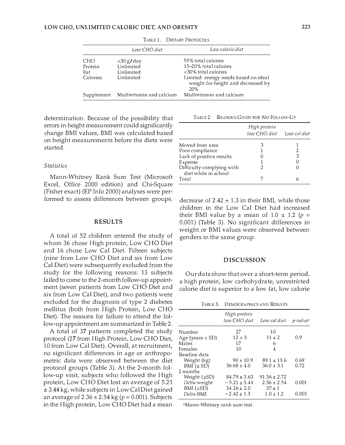|                  | Low CHO diet                        | Low calorie diet                                                                                         |
|------------------|-------------------------------------|----------------------------------------------------------------------------------------------------------|
| CI-IO<br>Protein | $<$ 30 g/day<br>Unlimited           | 55% total calories<br>15–20% total calories                                                              |
| Fat<br>Calories  | Unlimited<br>Unlimited              | <30% total calories<br>Limited: energy needs based on ideal<br>weight for height and decreased by<br>20% |
|                  | Supplement Multivitamin and calcium | Multivitamin and calcium                                                                                 |

TADLE 1. DIETARY PROTOCOLS

determination. Because of the possibility that errors in height measurement could significantly change BMI values, BMI was calculated based on height measurements before the diets were started.

#### Statistics

Mann-Whitney Rank Sum Test (Microsoft Excel, Office 2000 edition) and Chi-Square (Fisher exact) (EP Info 2000) analyses were performed to assess differences between groups.

#### RESULTS

A total of 52 children entered the study of whom 36 chose High protein, Low CHO Diet and 16 chose Low Cal Diet. Fifteen subjects (nine from Low CHO Diet and six from Low Cal Diet) were subsequently excluded from the study for the following reasons: 13 subjects failed to come to the 2-month follow-up appointment (seven patients from Low CHO Diet and six from Low Cal Diet), and two patients were excluded for the diagnosis of type 2 diabetes mellitus (both from High Protein, Low CHO Diet). The reasons for failure to attend the follow-up appointment are summarized in Table 2.

A total of 37 patients completed the study protocol (27 from High Protein, Low CHO Diet, 10 from Low Cal Diet). Overall, at recruitment, no significant differences in age or anthropometric data were observed between the diet protocol groups (Table 3). At the 2-month follow-up visit, subjects who followed the High protein, Low CHO Diet lost an average of 5.21 ± 3.44 kg, while subjects in Low Cal Diet gained an average of  $2.36 \pm 2.54$  kg ( $p = 0.001$ ). Subjects in the High protein, Low CHO Diet had a mean

TABLE 2. REASONS GIVEN FOR NO FOLLOW-UP

|                                                   | High protein<br>low CHO diet | Low cal diet |
|---------------------------------------------------|------------------------------|--------------|
| Moved from area                                   |                              |              |
| Poor compliance                                   |                              |              |
| Lack of positive results                          |                              | З            |
| Expense                                           |                              |              |
| Difficulty complying with<br>diet while in school |                              |              |
| Total                                             |                              |              |

decrease of  $2.42 \pm 1.3$  in their BMI, while those children in the Low Cal Diet had increased their BMI value by a mean of 1.0  $\pm$  1.2 ( $p =$ 0.001) (Table 3). No significant differences in weight or BMI values were observed between genders in the same group.

#### DISCUSSION

Our data show that over a short-term period, a high protein, low carbohydrate, unrestricted calorie diet is superior to a low fat, low calorie

TABLE 3. DEMOGRAPHICS AND RESULTS

|                      | High protein<br>low CHO diet | Low cal diet     | $p$ -value |
|----------------------|------------------------------|------------------|------------|
| Number               | 27                           | 10               |            |
| Age (years $\pm$ SD) | $12 \pm 3$                   | $11 \pm 2$       | 0.9        |
| Males                | 17                           | 6                |            |
| Females              | 10                           | 4                |            |
| Baseline data        |                              |                  |            |
| Weight (kg)          | $90 \pm 10.9$                | $89.1 \pm 13.6$  | 0.69       |
| BMI $(\pm SD)$       | $36.68 \pm 4.0$              | $36.0 \pm 3.1$   | 0.72       |
| 2 months             |                              |                  |            |
|                      | $84.79 \pm 3.63$             | $91.36 \pm 2.72$ |            |
| Delta-weight         | $-5.21 \pm 3.44$             | $2.36 \pm 2.54$  | 0.001      |
| BMI $(\pm SD)$       | $34.26 \pm 2.0$              | $37 \pm 1$       |            |
| Delta-BMI            | $-2.42 + 1.3$                | $1.0 \pm 1.2$    | 0.001      |
| Weight (±SD)         |                              |                  |            |

"Mann-Whitney rank sum test.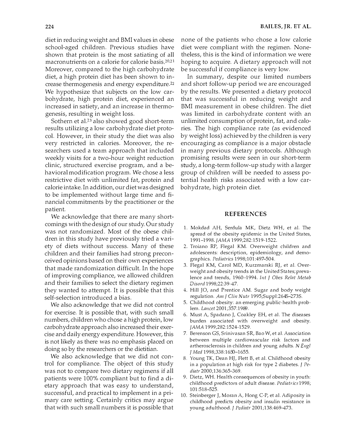diet in reducing weight and BMI values in obese school-aged children. Previous studies have shown that protein is the most satiating of all macronutrients on a calorie for calorie basis.20·21 Moreover, compared to the high carbohydrate diet, a high protein diet has been shown to increase thermogenesis and energy expenditure.<sup>22</sup> We hypothesize that subjects on the low carbohydrate, high protein diet, experienced an increased in satiety, and an increase in thermogenesis, resulting in weight loss.

Sothern et aJ.23 also showed good short-term results utilizing a low carbohydrate diet protocol. However, in their study the diet was also very restricted in calories. Moreover, the researchers used a team approach that included weekly visits for a two-hour weight reduction clinic, structured exercise program, and a behavioral modification program. We chose a less restrictive diet with unlimited fat, protein and calorie intake. In addition, our diet was designed to be implemented without large time and financial commitments by the practitioner or the patient.

We acknowledge that there are many shortcomings with the design of our study. Our study was not randomized. Most of the obese children in this study have previously tried a variety of diets without success. Many of these children and their families had strong preconceived opinions based on their own experiences that made randomization difficult. In the hope of improving compliance, we allowed children and their families to select the dietary regimen they wanted to attempt. It is possible that this self-selection introduced a bias.

We also acknowledge that we did not control for exercise. It is possible that, with such small numbers, children who chose a high protein, low carbohydrate approach also increased their exercise and daily energy expenditure. However, this is not likely as there was no emphasis placed on doing so by the researchers or the dietitian.

We also acknowledge that we did not control for compliance. The object of this study was not to compare two dietary regimens if all patients were 100% compliant but to find a dietary approach that was easy to understand, successful, and practical to implement in a primary care setting. Certainly critics may argue that with such small numbers it is possible that none of the patients who chose a low calorie diet were compliant with the regimen. Nonetheless, this is the kind of information we were hoping to acquire. A dietary approach will not be successful if compliance is very low.

In summary, despite our limited numbers and short follow-up period we are encouraged by the results. We presented a dietary protocol that was successful in reducing weight and BMI measurement in obese children. The diet was limited in carbohydrate content with an unlimited consumption of protein, fat, and calories. The high compliance rate (as evidenced by weight loss) achieved by the children is very encouraging as compliance is a major obstacle in many previous dietary protocols. Although promising results were seen in our short-term study, a long-term follow-up study with a larger group of children will be needed to assess potential health risks associated with a low carbohydrate, high protein diet.

#### REFERENCES

- 1. Mokdad AI1, Serdula MK, Dietz WH, et al. The spread of the obesity epidemic in the United States, 1991-1998. lAMA 1999;282:1519-1522.
- 2. Troiano RP, Flegal KM. Overweight children and adolescents: description, epidemiology, and demographics. Pediatrics 1998;101:497-504.
- 3. Flegal KM, Carol MD, Kurzmarski RJ, et al. Overweight and obesity trends in the United States; prevalence and trends, 1960-1994. Int J Obes Relat Metab Disord 1998;22:39-47.
- 4. Hill JO, and Prentice AM. Sugar and body weight regulation. Am J Clin Nutr 1995;Suppl:264S-273S.
- 5. Childhood obesity: an emerging public-health problem. Lancet 2001;357:1989.
- 6. Must A, Spadano J, Coakley EH, et al. The diseases burden associated with overweight and obesity. lAMA 1999;282:1524-1529.
- 7. Berenson GS, Srinivasan SR, Bao W, et a!. Association between multiple cardiovascular risk factors and artherosclerosis in children and young adults.  $N$  Engl J Med 1998;338:1650-1655.
- 8. Young TK, Dean HJ, Flett B, et al. Childhood obesity in a population at high risk for type 2 diabetes.  $\int Pe$ diatr 2000;136:365-369.
- 9. Dietz, WH. Health consequences of obesity in youth: childhood predictors of adult disease. Pediatrics 1998; 101:518 -525.
- 10. Steinberger J, Moran A, Hong C-P, et al. Adiposity in childhood predicts obesity and insulin resistance in young adulthood. I Pcdintr 2001;138:469-473.